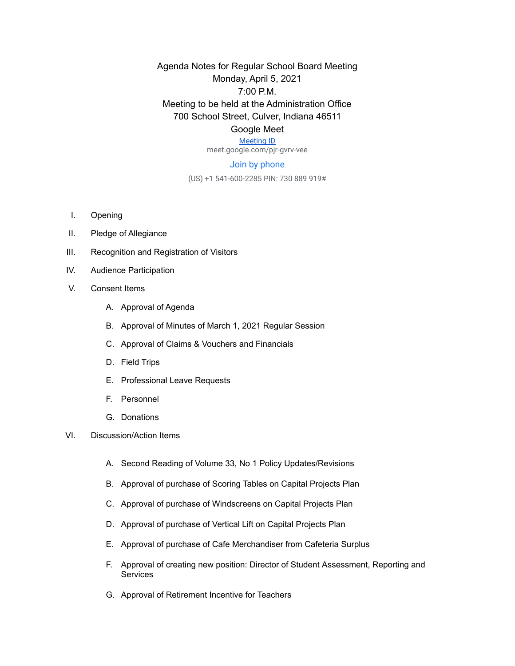Agenda Notes for Regular School Board Meeting Monday, April 5, 2021 7:00 P.M. Meeting to be held at the Administration Office 700 School Street, Culver, Indiana 46511 Google Meet

[Meeting ID](https://meet.google.com/pjr-gvrv-vee) meet.google.com/pjr-gvrv-vee

## Join by phone

(US) +1 541-600-2285 PIN: 730 889 919#

- I. Opening
- II. Pledge of Allegiance
- III. Recognition and Registration of Visitors
- IV. Audience Participation
- V. Consent Items
	- A. Approval of Agenda
	- B. Approval of Minutes of March 1, 2021 Regular Session
	- C. Approval of Claims & Vouchers and Financials
	- D. Field Trips
	- E. Professional Leave Requests
	- F. Personnel
	- G. Donations
- VI. Discussion/Action Items
	- A. Second Reading of Volume 33, No 1 Policy Updates/Revisions
	- B. Approval of purchase of Scoring Tables on Capital Projects Plan
	- C. Approval of purchase of Windscreens on Capital Projects Plan
	- D. Approval of purchase of Vertical Lift on Capital Projects Plan
	- E. Approval of purchase of Cafe Merchandiser from Cafeteria Surplus
	- F. Approval of creating new position: Director of Student Assessment, Reporting and **Services**
	- G. Approval of Retirement Incentive for Teachers